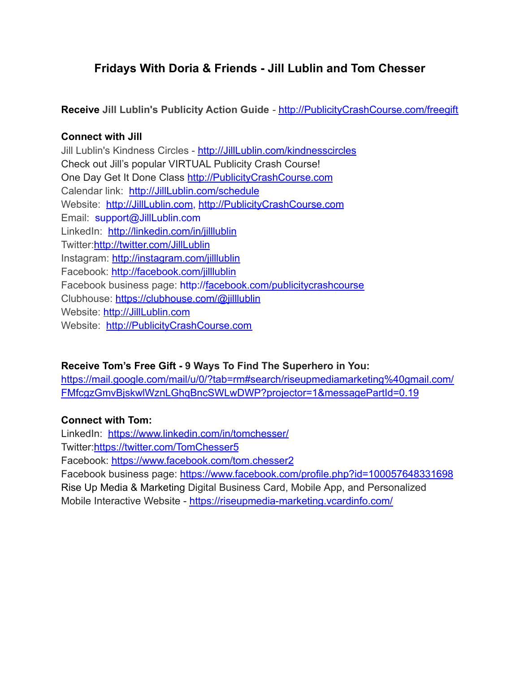# **Fridays With Doria & Friends - Jill Lublin and Tom Chesser**

**Receive Jill Lublin's Publicity Action Guide** - [http://PublicityCrashCourse.com/freegift](http://publicitycrashcourse.com/freegift)

### **Connect with Jill**

Jill Lublin's Kindness Circles - [http://JillLublin.com/kindnesscircles](http://jilllublin.com/kindnesscircles) Check out Jill's popular VIRTUAL Publicity Crash Course! One Day Get It Done Class [http://PublicityCrashCourse.com](http://publicitycrashcourse.com/) Calendar link: [http://JillLublin.com/schedule](http://jilllublin.com/schedule) Website: [http://JillLublin.com](http://jilllublin.com/), [http://PublicityCrashCourse.com](http://publicitycrashcourse.com/) Email: support@JillLublin.com LinkedIn: <http://linkedin.com/in/jilllublin> Twitter:<http://twitter.com/JillLublin> Instagram: <http://instagram.com/jilllublin> Facebook: <http://facebook.com/jilllublin> Facebook business page: http:/[/facebook.com/publicitycrashcourse](http://facebook.com/publicitycrashcourse) Clubhouse: <https://clubhouse.com/@jilllublin> Website: [http://JillLublin.com](http://jilllublin.com/) Website: [http://PublicityCrashCourse.com](http://publicitycrashcourse.com/)

## **Receive Tom's Free Gift - 9 Ways To Find The Superhero in You:**

[https://mail.google.com/mail/u/0/?tab=rm#search/riseupmediamarketing%40gmail.com/](https://mail.google.com/mail/u/0/?tab=rm#search/riseupmediamarketing%40gmail.com/FMfcgzGmvBjskwlWznLGhqBncSWLwDWP?projector=1&messagePartId=0.19) [FMfcgzGmvBjskwlWznLGhqBncSWLwDWP?projector=1&messagePartId=0.19](https://mail.google.com/mail/u/0/?tab=rm#search/riseupmediamarketing%40gmail.com/FMfcgzGmvBjskwlWznLGhqBncSWLwDWP?projector=1&messagePartId=0.19)

#### **Connect with Tom:**

LinkedIn: <https://www.linkedin.com/in/tomchesser/>

Twitter:<https://twitter.com/TomChesser5>

Facebook: <https://www.facebook.com/tom.chesser2>

Facebook business page: <https://www.facebook.com/profile.php?id=100057648331698> Rise Up Media & Marketing Digital Business Card, Mobile App, and Personalized Mobile Interactive Website - <https://riseupmedia-marketing.vcardinfo.com/>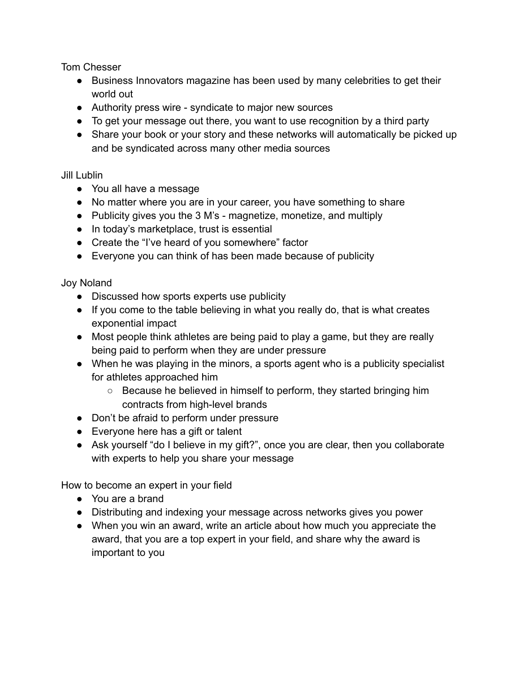Tom Chesser

- Business Innovators magazine has been used by many celebrities to get their world out
- Authority press wire syndicate to major new sources
- To get your message out there, you want to use recognition by a third party
- Share your book or your story and these networks will automatically be picked up and be syndicated across many other media sources

#### Jill Lublin

- You all have a message
- No matter where you are in your career, you have something to share
- Publicity gives you the 3 M's magnetize, monetize, and multiply
- In today's marketplace, trust is essential
- Create the "I've heard of you somewhere" factor
- Everyone you can think of has been made because of publicity

Joy Noland

- Discussed how sports experts use publicity
- If you come to the table believing in what you really do, that is what creates exponential impact
- Most people think athletes are being paid to play a game, but they are really being paid to perform when they are under pressure
- When he was playing in the minors, a sports agent who is a publicity specialist for athletes approached him
	- Because he believed in himself to perform, they started bringing him contracts from high-level brands
- Don't be afraid to perform under pressure
- Everyone here has a gift or talent
- Ask yourself "do I believe in my gift?", once you are clear, then you collaborate with experts to help you share your message

How to become an expert in your field

- You are a brand
- Distributing and indexing your message across networks gives you power
- When you win an award, write an article about how much you appreciate the award, that you are a top expert in your field, and share why the award is important to you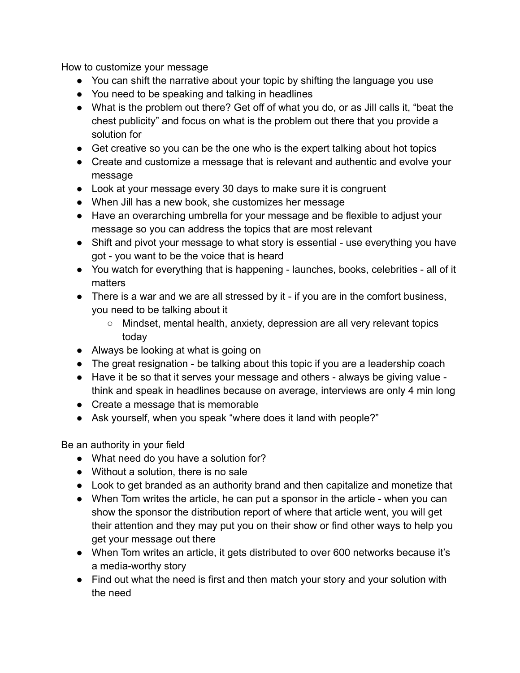How to customize your message

- You can shift the narrative about your topic by shifting the language you use
- You need to be speaking and talking in headlines
- What is the problem out there? Get off of what you do, or as Jill calls it, "beat the chest publicity" and focus on what is the problem out there that you provide a solution for
- Get creative so you can be the one who is the expert talking about hot topics
- Create and customize a message that is relevant and authentic and evolve your message
- Look at your message every 30 days to make sure it is congruent
- When Jill has a new book, she customizes her message
- Have an overarching umbrella for your message and be flexible to adjust your message so you can address the topics that are most relevant
- Shift and pivot your message to what story is essential use everything you have got - you want to be the voice that is heard
- You watch for everything that is happening launches, books, celebrities all of it matters
- There is a war and we are all stressed by it if you are in the comfort business, you need to be talking about it
	- Mindset, mental health, anxiety, depression are all very relevant topics today
- Always be looking at what is going on
- The great resignation be talking about this topic if you are a leadership coach
- Have it be so that it serves your message and others always be giving value think and speak in headlines because on average, interviews are only 4 min long
- Create a message that is memorable
- Ask yourself, when you speak "where does it land with people?"

Be an authority in your field

- What need do you have a solution for?
- Without a solution, there is no sale
- Look to get branded as an authority brand and then capitalize and monetize that
- When Tom writes the article, he can put a sponsor in the article when you can show the sponsor the distribution report of where that article went, you will get their attention and they may put you on their show or find other ways to help you get your message out there
- When Tom writes an article, it gets distributed to over 600 networks because it's a media-worthy story
- Find out what the need is first and then match your story and your solution with the need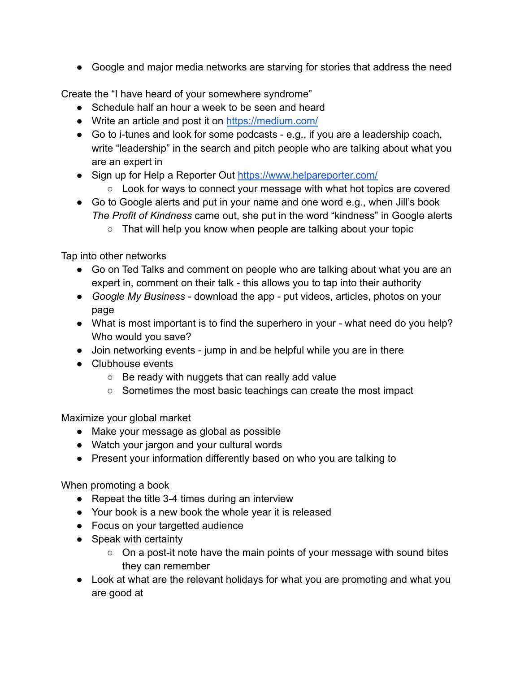● Google and major media networks are starving for stories that address the need

Create the "I have heard of your somewhere syndrome"

- Schedule half an hour a week to be seen and heard
- Write an article and post it on <https://medium.com/>
- Go to i-tunes and look for some podcasts e.g., if you are a leadership coach, write "leadership" in the search and pitch people who are talking about what you are an expert in
- Sign up for Help a Reporter Out <https://www.helpareporter.com/>
	- Look for ways to connect your message with what hot topics are covered
- Go to Google alerts and put in your name and one word e.g., when Jill's book *The Profit of Kindness* came out, she put in the word "kindness" in Google alerts
	- That will help you know when people are talking about your topic

Tap into other networks

- Go on Ted Talks and comment on people who are talking about what you are an expert in, comment on their talk - this allows you to tap into their authority
- *Google My Business* download the app put videos, articles, photos on your page
- What is most important is to find the superhero in your what need do you help? Who would you save?
- Join networking events jump in and be helpful while you are in there
- Clubhouse events
	- $\circ$  Be ready with nuggets that can really add value
	- Sometimes the most basic teachings can create the most impact

Maximize your global market

- Make your message as global as possible
- Watch your jargon and your cultural words
- Present your information differently based on who you are talking to

When promoting a book

- Repeat the title 3-4 times during an interview
- Your book is a new book the whole year it is released
- Focus on your targetted audience
- Speak with certainty
	- On a post-it note have the main points of your message with sound bites they can remember
- Look at what are the relevant holidays for what you are promoting and what you are good at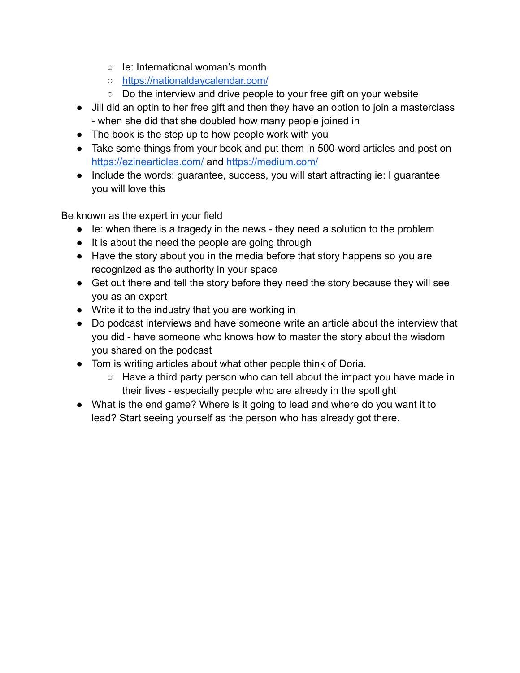- Ie: International woman's month
- <https://nationaldaycalendar.com/>
- Do the interview and drive people to your free gift on your website
- Jill did an optin to her free gift and then they have an option to join a masterclass - when she did that she doubled how many people joined in
- The book is the step up to how people work with you
- Take some things from your book and put them in 500-word articles and post on <https://ezinearticles.com/> and <https://medium.com/>
- Include the words: guarantee, success, you will start attracting ie: I guarantee you will love this

Be known as the expert in your field

- Ie: when there is a tragedy in the news they need a solution to the problem
- It is about the need the people are going through
- Have the story about you in the media before that story happens so you are recognized as the authority in your space
- Get out there and tell the story before they need the story because they will see you as an expert
- Write it to the industry that you are working in
- Do podcast interviews and have someone write an article about the interview that you did - have someone who knows how to master the story about the wisdom you shared on the podcast
- Tom is writing articles about what other people think of Doria.
	- $\circ$  Have a third party person who can tell about the impact you have made in their lives - especially people who are already in the spotlight
- What is the end game? Where is it going to lead and where do you want it to lead? Start seeing yourself as the person who has already got there.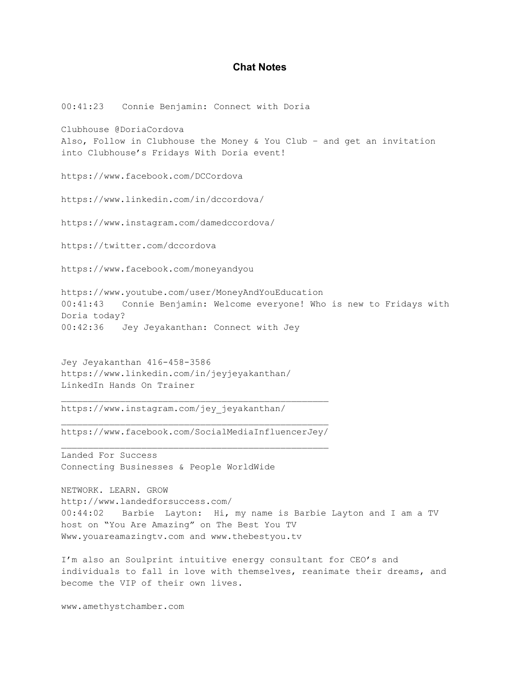#### **Chat Notes**

00:41:23 Connie Benjamin: Connect with Doria Clubhouse @DoriaCordova Also, Follow in Clubhouse the Money & You Club – and get an invitation into Clubhouse's Fridays With Doria event! https://www.facebook.com/DCCordova https://www.linkedin.com/in/dccordova/ https://www.instagram.com/damedccordova/ https://twitter.com/dccordova https://www.facebook.com/moneyandyou https://www.youtube.com/user/MoneyAndYouEducation 00:41:43 Connie Benjamin: Welcome everyone! Who is new to Fridays with Doria today? 00:42:36 Jey Jeyakanthan: Connect with Jey Jey Jeyakanthan 416-458-3586 https://www.linkedin.com/in/jeyjeyakanthan/ LinkedIn Hands On Trainer

https://www.instagram.com/jey\_jeyakanthan/

https://www.facebook.com/SocialMediaInfluencerJey/ \_\_\_\_\_\_\_\_\_\_\_\_\_\_\_\_\_\_\_\_\_\_\_\_\_\_\_\_\_\_\_\_\_\_\_\_\_\_\_\_\_\_\_\_\_\_\_\_\_\_

\_\_\_\_\_\_\_\_\_\_\_\_\_\_\_\_\_\_\_\_\_\_\_\_\_\_\_\_\_\_\_\_\_\_\_\_\_\_\_\_\_\_\_\_\_\_\_\_\_\_

Landed For Success Connecting Businesses & People WorldWide

NETWORK. LEARN. GROW http://www.landedforsuccess.com/ 00:44:02 Barbie Layton: Hi, my name is Barbie Layton and I am a TV host on "You Are Amazing" on The Best You TV Www.youareamazingtv.com and www.thebestyou.tv

I'm also an Soulprint intuitive energy consultant for CEO's and individuals to fall in love with themselves, reanimate their dreams, and become the VIP of their own lives.

www.amethystchamber.com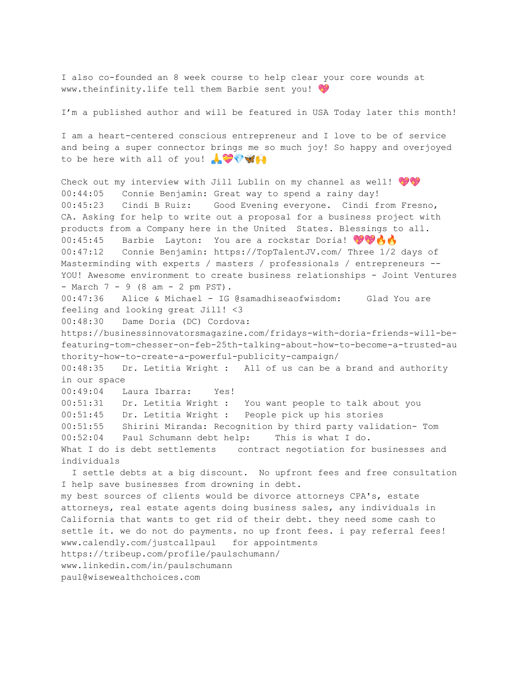I also co-founded an 8 week course to help clear your core wounds at www.theinfinity.life tell them Barbie sent you!

I'm a published author and will be featured in USA Today later this month!

I am a heart-centered conscious entrepreneur and I love to be of service and being a super connector brings me so much joy! So happy and overjoyed to be here with all of you! A V

Check out my interview with Jill Lublin on my channel as well! 00:44:05 Connie Benjamin: Great way to spend a rainy day! 00:45:23 Cindi B Ruiz: Good Evening everyone. Cindi from Fresno, CA. Asking for help to write out a proposal for a business project with products from a Company here in the United States. Blessings to all. 00:45:45 Barbie Layton: You are a rockstar Doria! 00:47:12 Connie Benjamin: https://TopTalentJV.com/ Three 1/2 days of Masterminding with experts / masters / professionals / entrepreneurs -- YOU! Awesome environment to create business relationships - Joint Ventures - March 7 - 9 (8 am - 2 pm PST). 00:47:36 Alice & Michael - IG @samadhiseaofwisdom: Glad You are feeling and looking great Jill! <3 00:48:30 Dame Doria (DC) Cordova: https://businessinnovatorsmagazine.com/fridays-with-doria-friends-will-befeaturing-tom-chesser-on-feb-25th-talking-about-how-to-become-a-trusted-au thority-how-to-create-a-powerful-publicity-campaign/ 00:48:35 Dr. Letitia Wright : All of us can be a brand and authority in our space 00:49:04 Laura Ibarra: Yes! 00:51:31 Dr. Letitia Wright : You want people to talk about you 00:51:45 Dr. Letitia Wright : People pick up his stories 00:51:55 Shirini Miranda: Recognition by third party validation- Tom 00:52:04 Paul Schumann debt help: This is what I do. What I do is debt settlements contract negotiation for businesses and individuals I settle debts at a big discount. No upfront fees and free consultation I help save businesses from drowning in debt. my best sources of clients would be divorce attorneys CPA's, estate attorneys, real estate agents doing business sales, any individuals in California that wants to get rid of their debt. they need some cash to settle it. we do not do payments. no up front fees. i pay referral fees! www.calendly.com/justcallpaul for appointments

https://tribeup.com/profile/paulschumann/

www.linkedin.com/in/paulschumann

paul@wisewealthchoices.com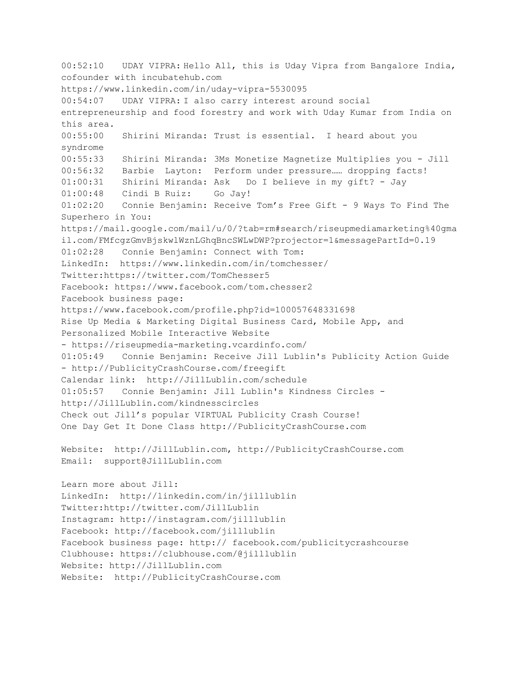00:52:10 UDAY VIPRA: Hello All, this is Uday Vipra from Bangalore India, cofounder with incubatehub.com https://www.linkedin.com/in/uday-vipra-5530095 00:54:07 UDAY VIPRA: I also carry interest around social entrepreneurship and food forestry and work with Uday Kumar from India on this area. 00:55:00 Shirini Miranda: Trust is essential. I heard about you syndrome 00:55:33 Shirini Miranda: 3Ms Monetize Magnetize Multiplies you - Jill 00:56:32 Barbie Layton: Perform under pressure…… dropping facts! 01:00:31 Shirini Miranda: Ask Do I believe in my gift? - Jay 01:00:48 Cindi B Ruiz: Go Jay! 01:02:20 Connie Benjamin: Receive Tom's Free Gift - 9 Ways To Find The Superhero in You: https://mail.google.com/mail/u/0/?tab=rm#search/riseupmediamarketing%40gma il.com/FMfcgzGmvBjskwlWznLGhqBncSWLwDWP?projector=1&messagePartId=0.19 01:02:28 Connie Benjamin: Connect with Tom: LinkedIn: https://www.linkedin.com/in/tomchesser/ Twitter:https://twitter.com/TomChesser5 Facebook: https://www.facebook.com/tom.chesser2 Facebook business page: https://www.facebook.com/profile.php?id=100057648331698 Rise Up Media & Marketing Digital Business Card, Mobile App, and Personalized Mobile Interactive Website - https://riseupmedia-marketing.vcardinfo.com/ 01:05:49 Connie Benjamin: Receive Jill Lublin's Publicity Action Guide - http://PublicityCrashCourse.com/freegift Calendar link: http://JillLublin.com/schedule 01:05:57 Connie Benjamin: Jill Lublin's Kindness Circles http://JillLublin.com/kindnesscircles Check out Jill's popular VIRTUAL Publicity Crash Course! One Day Get It Done Class http://PublicityCrashCourse.com Website: http://JillLublin.com, http://PublicityCrashCourse.com Email: support@JillLublin.com Learn more about Jill: LinkedIn: http://linkedin.com/in/jilllublin Twitter:http://twitter.com/JillLublin Instagram: http://instagram.com/jilllublin Facebook: http://facebook.com/jilllublin Facebook business page: http:// facebook.com/publicitycrashcourse Clubhouse: https://clubhouse.com/@jilllublin Website: http://JillLublin.com Website: http://PublicityCrashCourse.com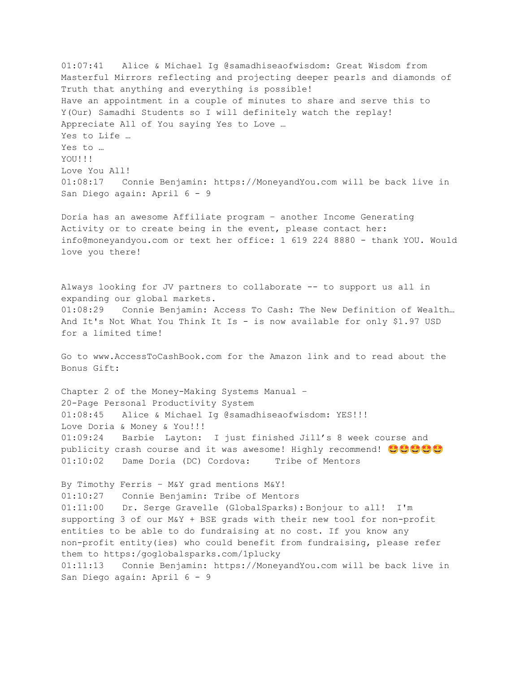01:07:41 Alice & Michael Ig @samadhiseaofwisdom: Great Wisdom from Masterful Mirrors reflecting and projecting deeper pearls and diamonds of Truth that anything and everything is possible! Have an appointment in a couple of minutes to share and serve this to Y(Our) Samadhi Students so I will definitely watch the replay! Appreciate All of You saying Yes to Love … Yes to Life … Yes to … YOU!!! Love You All! 01:08:17 Connie Benjamin: https://MoneyandYou.com will be back live in San Diego again: April 6 - 9 Doria has an awesome Affiliate program – another Income Generating Activity or to create being in the event, please contact her: info@moneyandyou.com or text her office: 1 619 224 8880 - thank YOU. Would love you there! Always looking for JV partners to collaborate -- to support us all in expanding our global markets. 01:08:29 Connie Benjamin: Access To Cash: The New Definition of Wealth… And It's Not What You Think It Is - is now available for only \$1.97 USD for a limited time! Go to www.AccessToCashBook.com for the Amazon link and to read about the Bonus Gift: Chapter 2 of the Money-Making Systems Manual – 20-Page Personal Productivity System 01:08:45 Alice & Michael Ig @samadhiseaofwisdom: YES!!! Love Doria & Money & You!!! 01:09:24 Barbie Layton: I just finished Jill's 8 week course and publicity crash course and it was awesome! Highly recommend!  $\bullet \bullet \bullet \bullet$ 01:10:02 Dame Doria (DC) Cordova: Tribe of Mentors By Timothy Ferris – M&Y grad mentions M&Y! 01:10:27 Connie Benjamin: Tribe of Mentors 01:11:00 Dr. Serge Gravelle (GlobalSparks): Bonjour to all! I'm supporting 3 of our M&Y + BSE grads with their new tool for non-profit entities to be able to do fundraising at no cost. If you know any non-profit entity(ies) who could benefit from fundraising, please refer them to https:/goglobalsparks.com/1plucky 01:11:13 Connie Benjamin: https://MoneyandYou.com will be back live in San Diego again: April 6 - 9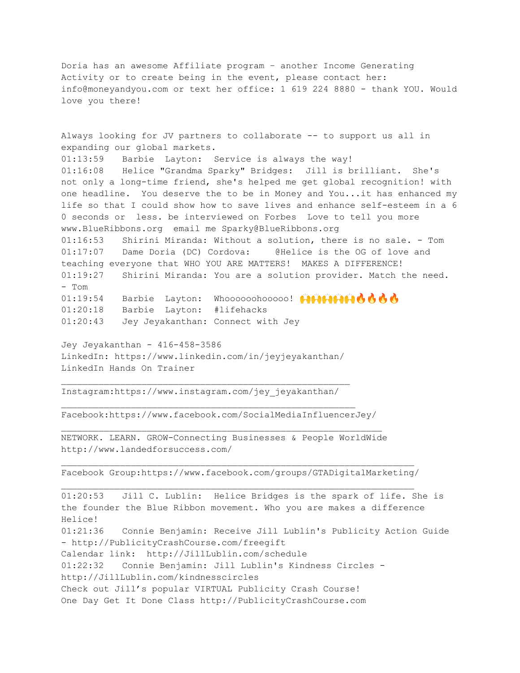Doria has an awesome Affiliate program – another Income Generating Activity or to create being in the event, please contact her: info@moneyandyou.com or text her office: 1 619 224 8880 - thank YOU. Would love you there!

Always looking for JV partners to collaborate -- to support us all in expanding our global markets. 01:13:59 Barbie Layton: Service is always the way! 01:16:08 Helice "Grandma Sparky" Bridges: Jill is brilliant. She's not only a long-time friend, she's helped me get global recognition! with one headline. You deserve the to be in Money and You...it has enhanced my life so that I could show how to save lives and enhance self-esteem in a 6 0 seconds or less. be interviewed on Forbes Love to tell you more www.BlueRibbons.org email me Sparky@BlueRibbons.org 01:16:53 Shirini Miranda: Without a solution, there is no sale. - Tom 01:17:07 Dame Doria (DC) Cordova: @Helice is the OG of love and teaching everyone that WHO YOU ARE MATTERS! MAKES A DIFFERENCE! 01:19:27 Shirini Miranda: You are a solution provider. Match the need. - Tom 01:19:54 Barbie Layton: Whoooooohooooo! 01:20:18 Barbie Layton: #lifehacks 01:20:43 Jey Jeyakanthan: Connect with Jey

Jey Jeyakanthan - 416-458-3586 LinkedIn: https://www.linkedin.com/in/jeyjeyakanthan/ LinkedIn Hands On Trainer

 $\_$  , and the set of the set of the set of the set of the set of the set of the set of the set of the set of the set of the set of the set of the set of the set of the set of the set of the set of the set of the set of th

Instagram:https://www.instagram.com/jey\_jeyakanthan/

Facebook:https://www.facebook.com/SocialMediaInfluencerJey/  $\Box$ 

NETWORK. LEARN. GROW-Connecting Businesses & People WorldWide http://www.landedforsuccess.com/

Facebook Group:https://www.facebook.com/groups/GTADigitalMarketing/  $\Box$ 

01:20:53 Jill C. Lublin: Helice Bridges is the spark of life. She is the founder the Blue Ribbon movement. Who you are makes a difference Helice! 01:21:36 Connie Benjamin: Receive Jill Lublin's Publicity Action Guide - http://PublicityCrashCourse.com/freegift Calendar link: http://JillLublin.com/schedule 01:22:32 Connie Benjamin: Jill Lublin's Kindness Circles http://JillLublin.com/kindnesscircles Check out Jill's popular VIRTUAL Publicity Crash Course! One Day Get It Done Class http://PublicityCrashCourse.com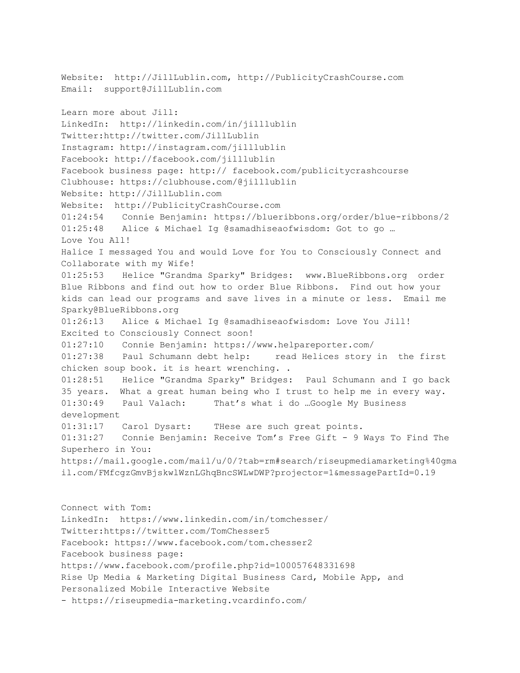Website: http://JillLublin.com, http://PublicityCrashCourse.com Email: support@JillLublin.com Learn more about Jill: LinkedIn: http://linkedin.com/in/jilllublin Twitter:http://twitter.com/JillLublin Instagram: http://instagram.com/jilllublin Facebook: http://facebook.com/jilllublin Facebook business page: http:// facebook.com/publicitycrashcourse Clubhouse: https://clubhouse.com/@jilllublin Website: http://JillLublin.com Website: http://PublicityCrashCourse.com 01:24:54 Connie Benjamin: https://blueribbons.org/order/blue-ribbons/2 01:25:48 Alice & Michael Ig @samadhiseaofwisdom: Got to go … Love You All! Halice I messaged You and would Love for You to Consciously Connect and Collaborate with my Wife! 01:25:53 Helice "Grandma Sparky" Bridges: www.BlueRibbons.org order Blue Ribbons and find out how to order Blue Ribbons. Find out how your kids can lead our programs and save lives in a minute or less. Email me Sparky@BlueRibbons.org 01:26:13 Alice & Michael Ig @samadhiseaofwisdom: Love You Jill! Excited to Consciously Connect soon! 01:27:10 Connie Benjamin: https://www.helpareporter.com/ 01:27:38 Paul Schumann debt help: read Helices story in the first chicken soup book. it is heart wrenching. . 01:28:51 Helice "Grandma Sparky" Bridges: Paul Schumann and I go back 35 years. What a great human being who I trust to help me in every way. 01:30:49 Paul Valach: That's what i do …Google My Business development 01:31:17 Carol Dysart: THese are such great points. 01:31:27 Connie Benjamin: Receive Tom's Free Gift - 9 Ways To Find The Superhero in You: https://mail.google.com/mail/u/0/?tab=rm#search/riseupmediamarketing%40gma il.com/FMfcgzGmvBjskwlWznLGhqBncSWLwDWP?projector=1&messagePartId=0.19 Connect with Tom: LinkedIn: https://www.linkedin.com/in/tomchesser/ Twitter:https://twitter.com/TomChesser5 Facebook: https://www.facebook.com/tom.chesser2 Facebook business page: https://www.facebook.com/profile.php?id=100057648331698 Rise Up Media & Marketing Digital Business Card, Mobile App, and

Personalized Mobile Interactive Website

- https://riseupmedia-marketing.vcardinfo.com/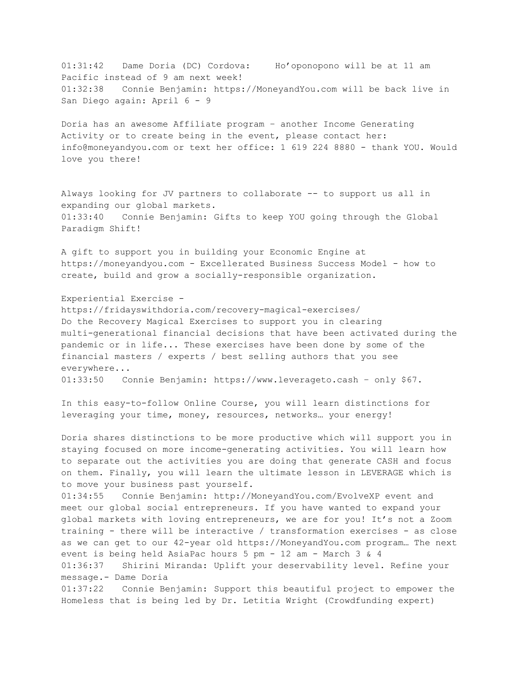01:31:42 Dame Doria (DC) Cordova: Ho'oponopono will be at 11 am Pacific instead of 9 am next week! 01:32:38 Connie Benjamin: https://MoneyandYou.com will be back live in San Diego again: April 6 - 9

Doria has an awesome Affiliate program – another Income Generating Activity or to create being in the event, please contact her: info@moneyandyou.com or text her office: 1 619 224 8880 - thank YOU. Would love you there!

Always looking for JV partners to collaborate -- to support us all in expanding our global markets. 01:33:40 Connie Benjamin: Gifts to keep YOU going through the Global Paradigm Shift!

A gift to support you in building your Economic Engine at https://moneyandyou.com - Excellerated Business Success Model - how to create, build and grow a socially-responsible organization.

Experiential Exercise https://fridayswithdoria.com/recovery-magical-exercises/ Do the Recovery Magical Exercises to support you in clearing multi-generational financial decisions that have been activated during the pandemic or in life... These exercises have been done by some of the financial masters / experts / best selling authors that you see everywhere... 01:33:50 Connie Benjamin: https://www.leverageto.cash – only \$67.

In this easy-to-follow Online Course, you will learn distinctions for leveraging your time, money, resources, networks… your energy!

Doria shares distinctions to be more productive which will support you in staying focused on more income-generating activities. You will learn how to separate out the activities you are doing that generate CASH and focus on them. Finally, you will learn the ultimate lesson in LEVERAGE which is to move your business past yourself.

01:34:55 Connie Benjamin: http://MoneyandYou.com/EvolveXP event and meet our global social entrepreneurs. If you have wanted to expand your global markets with loving entrepreneurs, we are for you! It's not a Zoom training - there will be interactive / transformation exercises - as close as we can get to our 42-year old https://MoneyandYou.com program… The next event is being held AsiaPac hours 5 pm - 12 am - March 3 & 4 01:36:37 Shirini Miranda: Uplift your deservability level. Refine your message.- Dame Doria

01:37:22 Connie Benjamin: Support this beautiful project to empower the Homeless that is being led by Dr. Letitia Wright (Crowdfunding expert)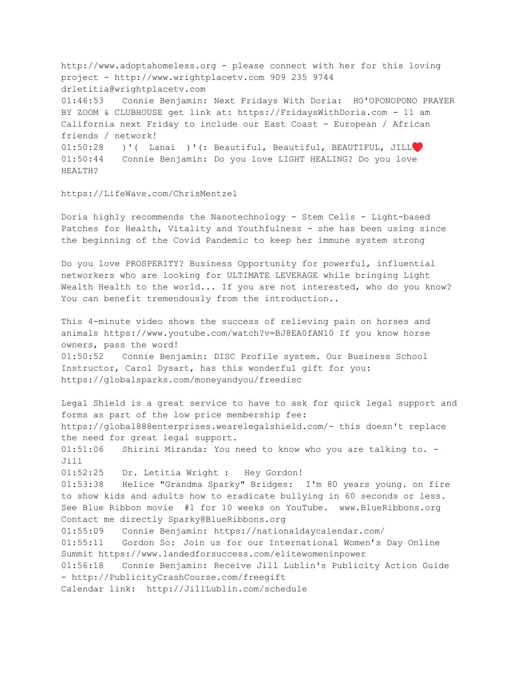http://www.adoptahomeless.org - please connect with her for this loving project - http://www.wrightplacetv.com 909 235 9744 drletitia@wrightplacetv.com 01:46:53 Connie Benjamin: Next Fridays With Doria: HO'OPONOPONO PRAYER BY ZOOM & CLUBHOUSE get link at: https://FridaysWithDoria.com - 11 am California next Friday to include our East Coast - European / African friends / network! 01:50:28 )'( Lanai )'(: Beautiful, Beautiful, BEAUTIFUL, JILL♥️ 01:50:44 Connie Benjamin: Do you love LIGHT HEALING? Do you love HEALTH?

#### https://LifeWave.com/ChrisMentzel

Doria highly recommends the Nanotechnology - Stem Cells - Light-based Patches for Health, Vitality and Youthfulness - she has been using since the beginning of the Covid Pandemic to keep her immune system strong

Do you love PROSPERITY? Business Opportunity for powerful, influential networkers who are looking for ULTIMATE LEVERAGE while bringing Light Wealth Health to the world... If you are not interested, who do you know? You can benefit tremendously from the introduction..

This 4-minute video shows the success of relieving pain on horses and animals https://www.youtube.com/watch?v=BJ8EA0fANl0 If you know horse owners, pass the word! 01:50:52 Connie Benjamin: DISC Profile system. Our Business School Instructor, Carol Dysart, has this wonderful gift for you: https://globalsparks.com/moneyandyou/freedisc

Legal Shield is a great service to have to ask for quick legal support and forms as part of the low price membership fee: https://global888enterprises.wearelegalshield.com/- this doesn't replace the need for great legal support. 01:51:06 Shirini Miranda: You need to know who you are talking to. - Jill 01:52:25 Dr. Letitia Wright : Hey Gordon! 01:53:38 Helice "Grandma Sparky" Bridges: I'm 80 years young. on fire to show kids and adults how to eradicate bullying in 60 seconds or less. See Blue Ribbon movie #1 for 10 weeks on YouTube. www.BlueRibbons.org Contact me directly Sparky@BlueRibbons.org 01:55:09 Connie Benjamin: https://nationaldaycalendar.com/ 01:55:11 Gordon So: Join us for our International Women's Day Online Summit https://www.landedforsuccess.com/elitewomeninpower 01:56:18 Connie Benjamin: Receive Jill Lublin's Publicity Action Guide - http://PublicityCrashCourse.com/freegift Calendar link: http://JillLublin.com/schedule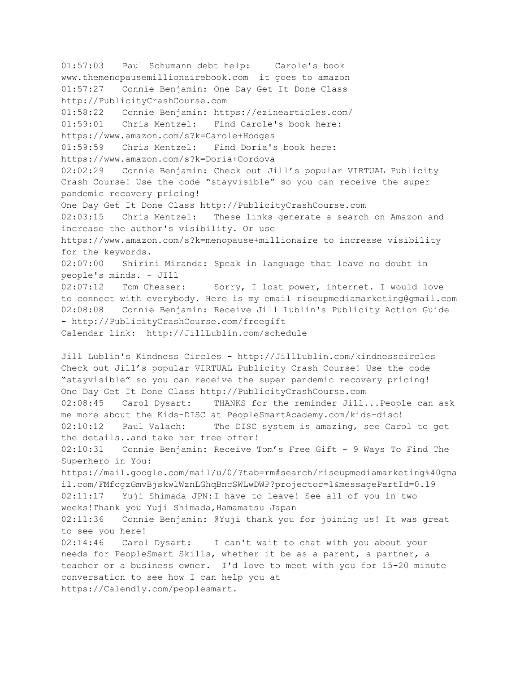01:57:03 Paul Schumann debt help: Carole's book www.themenopausemillionairebook.com it goes to amazon 01:57:27 Connie Benjamin: One Day Get It Done Class http://PublicityCrashCourse.com 01:58:22 Connie Benjamin: https://ezinearticles.com/ 01:59:01 Chris Mentzel: Find Carole's book here: https://www.amazon.com/s?k=Carole+Hodges 01:59:59 Chris Mentzel: Find Doria's book here: https://www.amazon.com/s?k=Doria+Cordova 02:02:29 Connie Benjamin: Check out Jill's popular VIRTUAL Publicity Crash Course! Use the code "stayvisible" so you can receive the super pandemic recovery pricing! One Day Get It Done Class http://PublicityCrashCourse.com 02:03:15 Chris Mentzel: These links generate a search on Amazon and increase the author's visibility. Or use https://www.amazon.com/s?k=menopause+millionaire to increase visibility for the keywords. 02:07:00 Shirini Miranda: Speak in language that leave no doubt in people's minds. - JIll 02:07:12 Tom Chesser: Sorry, I lost power, internet. I would love to connect with everybody. Here is my email riseupmediamarketing@gmail.com 02:08:08 Connie Benjamin: Receive Jill Lublin's Publicity Action Guide - http://PublicityCrashCourse.com/freegift Calendar link: http://JillLublin.com/schedule Jill Lublin's Kindness Circles - http://JillLublin.com/kindnesscircles Check out Jill's popular VIRTUAL Publicity Crash Course! Use the code "stayvisible" so you can receive the super pandemic recovery pricing! One Day Get It Done Class http://PublicityCrashCourse.com 02:08:45 Carol Dysart: THANKS for the reminder Jill... People can ask me more about the Kids-DISC at PeopleSmartAcademy.com/kids-disc! 02:10:12 Paul Valach: The DISC system is amazing, see Carol to get the details..and take her free offer! 02:10:31 Connie Benjamin: Receive Tom's Free Gift - 9 Ways To Find The Superhero in You: https://mail.google.com/mail/u/0/?tab=rm#search/riseupmediamarketing%40gma il.com/FMfcgzGmvBjskwlWznLGhqBncSWLwDWP?projector=1&messagePartId=0.19 02:11:17 Yuji Shimada JPN:I have to leave! See all of you in two weeks!Thank you Yuji Shimada, Hamamatsu Japan 02:11:36 Connie Benjamin: @Yuji thank you for joining us! It was great to see you here! 02:14:46 Carol Dysart: I can't wait to chat with you about your needs for PeopleSmart Skills, whether it be as a parent, a partner, a teacher or a business owner. I'd love to meet with you for 15-20 minute conversation to see how I can help you at https://Calendly.com/peoplesmart.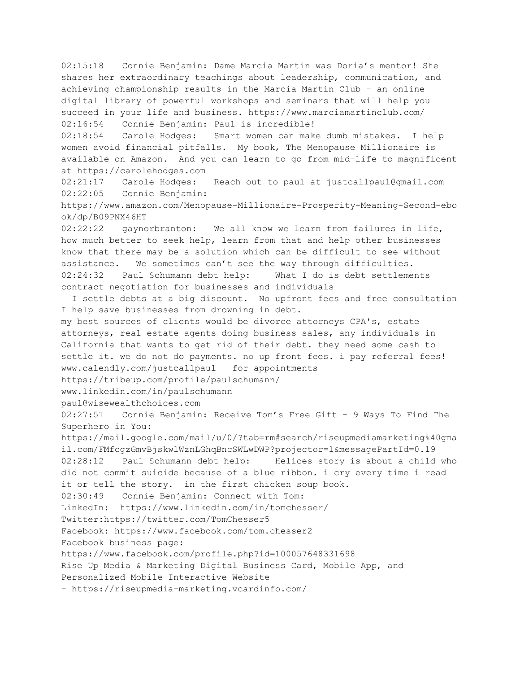02:15:18 Connie Benjamin: Dame Marcia Martin was Doria's mentor! She shares her extraordinary teachings about leadership, communication, and achieving championship results in the Marcia Martin Club - an online digital library of powerful workshops and seminars that will help you succeed in your life and business. https://www.marciamartinclub.com/ 02:16:54 Connie Benjamin: Paul is incredible!

02:18:54 Carole Hodges: Smart women can make dumb mistakes. I help women avoid financial pitfalls. My book, The Menopause Millionaire is available on Amazon. And you can learn to go from mid-life to magnificent at https://carolehodges.com

02:21:17 Carole Hodges: Reach out to paul at justcallpaul@gmail.com 02:22:05 Connie Benjamin:

https://www.amazon.com/Menopause-Millionaire-Prosperity-Meaning-Second-ebo ok/dp/B09PNX46HT

02:22:22 gaynorbranton: We all know we learn from failures in life, how much better to seek help, learn from that and help other businesses know that there may be a solution which can be difficult to see without assistance. We sometimes can't see the way through difficulties. 02:24:32 Paul Schumann debt help: What I do is debt settlements contract negotiation for businesses and individuals

I settle debts at a big discount. No upfront fees and free consultation I help save businesses from drowning in debt.

my best sources of clients would be divorce attorneys CPA's, estate attorneys, real estate agents doing business sales, any individuals in California that wants to get rid of their debt. they need some cash to settle it. we do not do payments. no up front fees. i pay referral fees! www.calendly.com/justcallpaul for appointments

https://tribeup.com/profile/paulschumann/

www.linkedin.com/in/paulschumann

paul@wisewealthchoices.com

02:27:51 Connie Benjamin: Receive Tom's Free Gift - 9 Ways To Find The Superhero in You:

https://mail.google.com/mail/u/0/?tab=rm#search/riseupmediamarketing%40gma il.com/FMfcgzGmvBjskwlWznLGhqBncSWLwDWP?projector=1&messagePartId=0.19 02:28:12 Paul Schumann debt help: Helices story is about a child who did not commit suicide because of a blue ribbon. i cry every time i read it or tell the story. in the first chicken soup book.

```
02:30:49 Connie Benjamin: Connect with Tom:
```
LinkedIn: https://www.linkedin.com/in/tomchesser/

Twitter:https://twitter.com/TomChesser5

Facebook: https://www.facebook.com/tom.chesser2

Facebook business page:

https://www.facebook.com/profile.php?id=100057648331698

Rise Up Media & Marketing Digital Business Card, Mobile App, and Personalized Mobile Interactive Website

- https://riseupmedia-marketing.vcardinfo.com/